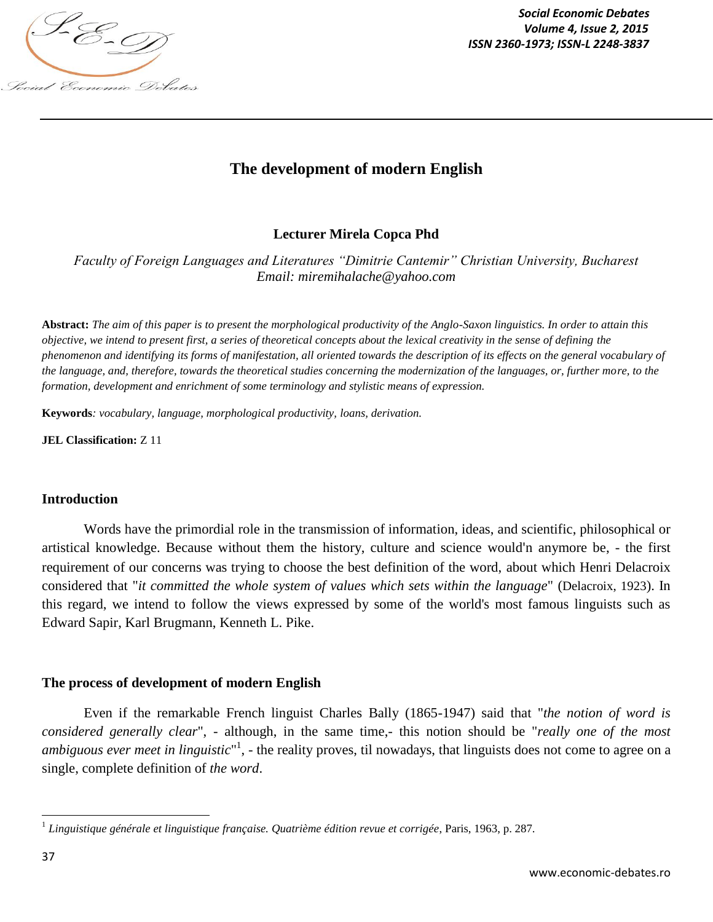

*Social Economic Debates ISSN 2360-1973; ISSN-L 2248-3837*

# **The development of modern English**

## **Lecturer Mirela Copca Phd**

*Faculty of Foreign Languages and Literatures "Dimitrie Cantemir" Christian University, Bucharest Email: miremihalache@yahoo.com*

**Abstract:** *The aim of this paper is to present the morphological productivity of the Anglo-Saxon linguistics. In order to attain this objective, we intend to present first, a series of theoretical concepts about the lexical creativity in the sense of defining the phenomenon and identifying its forms of manifestation, all oriented towards the description of its effects on the general vocabulary of the language, and, therefore, towards the theoretical studies concerning the modernization of the languages, or, further more, to the formation, development and enrichment of some terminology and stylistic means of expression.* 

**Keywords***: vocabulary, language, morphological productivity, loans, derivation.*

**JEL Classification:** Z 11

#### **Introduction**

Words have the primordial role in the transmission of information, ideas, and scientific, philosophical or artistical knowledge. Because without them the history, culture and science would'n anymore be, - the first requirement of our concerns was trying to choose the best definition of the word, about which Henri Delacroix considered that "*it committed the whole system of values which sets within the language*" (Delacroix, 1923). In this regard, we intend to follow the views expressed by some of the world's most famous linguists such as Edward Sapir, Karl Brugmann, Kenneth L. Pike.

#### **The process of development of modern English**

Even if the remarkable French linguist Charles Bally (1865-1947) said that "*the notion of word is considered generally clear*", - although, in the same time,- this notion should be "*really one of the most ambiguous ever meet in linguistic*"<sup>1</sup>, - the reality proves, til nowadays, that linguists does not come to agree on a single, complete definition of *the word*.

 1 *Linguistique générale et linguistique française. Quatrième édition revue et corrigée*, Paris, 1963, p. 287.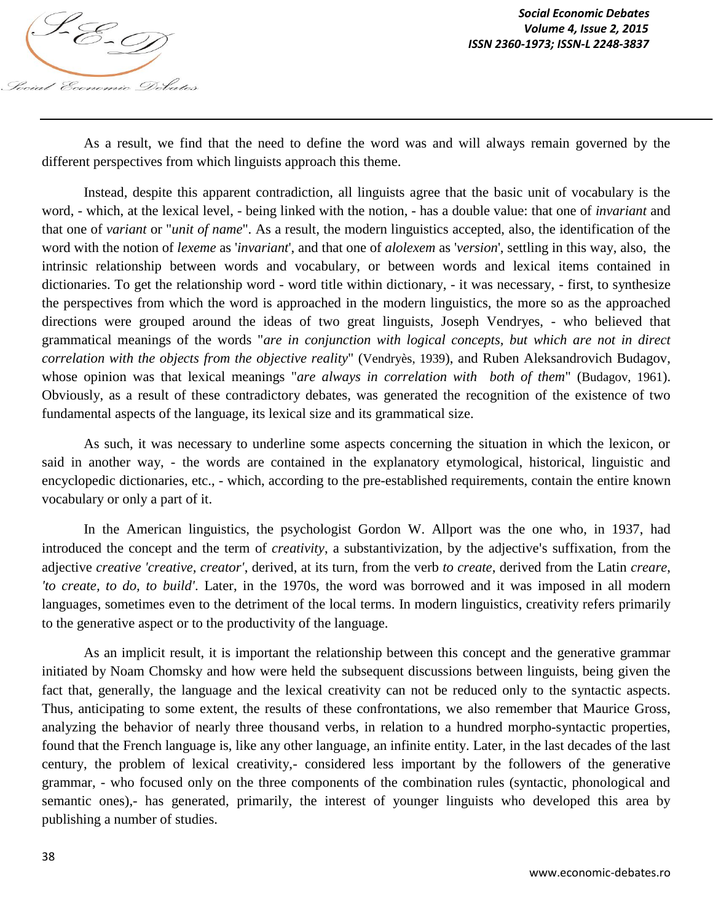

As a result, we find that the need to define the word was and will always remain governed by the different perspectives from which linguists approach this theme.

Instead, despite this apparent contradiction, all linguists agree that the basic unit of vocabulary is the word, - which, at the lexical level, - being linked with the notion, - has a double value: that one of *invariant* and that one of *variant* or "*unit of name*". As a result, the modern linguistics accepted, also, the identification of the word with the notion of *lexeme* as '*invariant*', and that one of *alolexem* as '*version*', settling in this way, also, the intrinsic relationship between words and vocabulary, or between words and lexical items contained in dictionaries. To get the relationship word - word title within dictionary, - it was necessary, - first, to synthesize the perspectives from which the word is approached in the modern linguistics, the more so as the approached directions were grouped around the ideas of two great linguists, Joseph Vendryes, - who believed that grammatical meanings of the words "*are in conjunction with logical concepts, but which are not in direct correlation with the objects from the objective reality*" (Vendryès, 1939), and Ruben Aleksandrovich Budagov, whose opinion was that lexical meanings "*are always in correlation with both of them*" (Budagov, 1961). Obviously, as a result of these contradictory debates, was generated the recognition of the existence of two fundamental aspects of the language, its lexical size and its grammatical size.

As such, it was necessary to underline some aspects concerning the situation in which the lexicon, or said in another way, - the words are contained in the explanatory etymological, historical, linguistic and encyclopedic dictionaries, etc., - which, according to the pre-established requirements, contain the entire known vocabulary or only a part of it.

In the American linguistics, the psychologist Gordon W. Allport was the one who, in 1937, had introduced the concept and the term of *creativity*, a substantivization, by the adjective's suffixation, from the adjective *creative 'creative, creator'*, derived, at its turn, from the verb *to create*, derived from the Latin *creare*, *'to create, to do, to build'*. Later, in the 1970s, the word was borrowed and it was imposed in all modern languages, sometimes even to the detriment of the local terms. In modern linguistics, creativity refers primarily to the generative aspect or to the productivity of the language.

As an implicit result, it is important the relationship between this concept and the generative grammar initiated by Noam Chomsky and how were held the subsequent discussions between linguists, being given the fact that, generally, the language and the lexical creativity can not be reduced only to the syntactic aspects. Thus, anticipating to some extent, the results of these confrontations, we also remember that Maurice Gross, analyzing the behavior of nearly three thousand verbs, in relation to a hundred morpho-syntactic properties, found that the French language is, like any other language, an infinite entity. Later, in the last decades of the last century, the problem of lexical creativity,- considered less important by the followers of the generative grammar, - who focused only on the three components of the combination rules (syntactic, phonological and semantic ones),- has generated, primarily, the interest of younger linguists who developed this area by publishing a number of studies.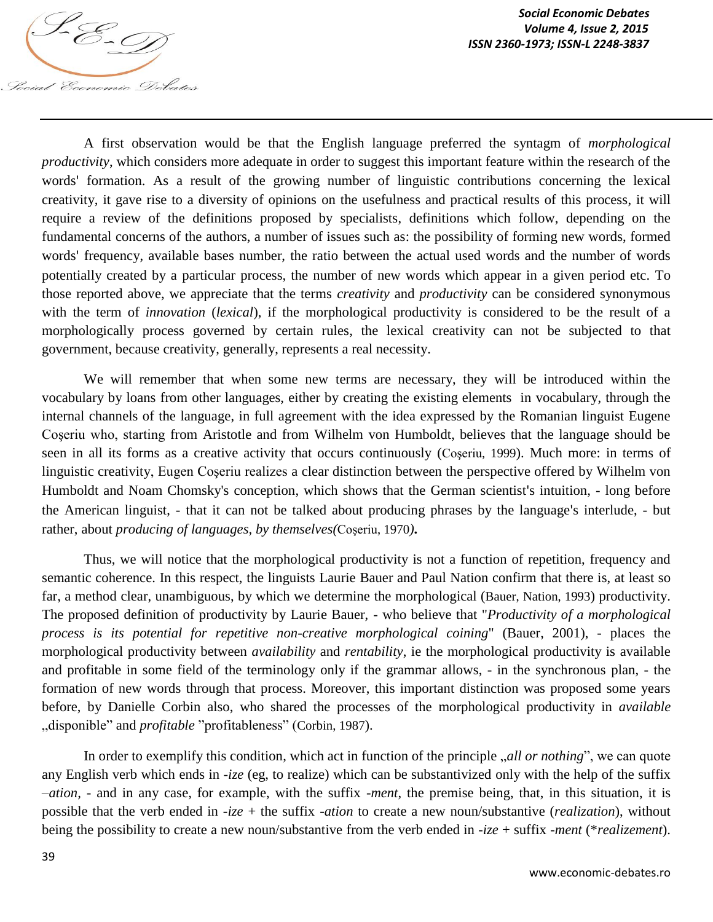

A first observation would be that the English language preferred the syntagm of *morphological productivity*, which considers more adequate in order to suggest this important feature within the research of the words' formation. As a result of the growing number of linguistic contributions concerning the lexical creativity, it gave rise to a diversity of opinions on the usefulness and practical results of this process, it will require a review of the definitions proposed by specialists, definitions which follow, depending on the fundamental concerns of the authors, a number of issues such as: the possibility of forming new words, formed words' frequency, available bases number, the ratio between the actual used words and the number of words potentially created by a particular process, the number of new words which appear in a given period etc. To those reported above, we appreciate that the terms *creativity* and *productivity* can be considered synonymous with the term of *innovation* (*lexical*), if the morphological productivity is considered to be the result of a morphologically process governed by certain rules, the lexical creativity can not be subjected to that government, because creativity, generally, represents a real necessity.

We will remember that when some new terms are necessary, they will be introduced within the vocabulary by loans from other languages, either by creating the existing elements in vocabulary, through the internal channels of the language, in full agreement with the idea expressed by the Romanian linguist Eugene Coşeriu who, starting from Aristotle and from Wilhelm von Humboldt, believes that the language should be seen in all its forms as a creative activity that occurs continuously (Coşeriu, 1999). Much more: in terms of linguistic creativity, Eugen Coşeriu realizes a clear distinction between the perspective offered by Wilhelm von Humboldt and Noam Chomsky's conception, which shows that the German scientist's intuition, - long before the American linguist, - that it can not be talked about producing phrases by the language's interlude, - but rather, about *producing of languages, by themselves(*Coşeriu, 1970*)***.** 

Thus, we will notice that the morphological productivity is not a function of repetition, frequency and semantic coherence. In this respect, the linguists Laurie Bauer and Paul Nation confirm that there is, at least so far, a method clear, unambiguous, by which we determine the morphological (Bauer, Nation, 1993) productivity. The proposed definition of productivity by Laurie Bauer, - who believe that "*Productivity of a morphological process is its potential for repetitive non-creative morphological coining*" (Bauer, 2001), - places the morphological productivity between *availability* and *rentability*, ie the morphological productivity is available and profitable in some field of the terminology only if the grammar allows, - in the synchronous plan, - the formation of new words through that process. Moreover, this important distinction was proposed some years before, by Danielle Corbin also, who shared the processes of the morphological productivity in *available* "disponible" and *profitable* "profitableness" (Corbin, 1987).

In order to exemplify this condition, which act in function of the principle *all or nothing*", we can quote any English verb which ends in *-ize* (eg, to realize) which can be substantivized only with the help of the suffix *–ation,* - and in any case, for example, with the suffix *-ment*, the premise being, that, in this situation, it is possible that the verb ended in *-ize* + the suffix -*ation* to create a new noun/substantive (*realization*), without being the possibility to create a new noun/substantive from the verb ended in *-ize* + suffix *-ment* (\**realizement*).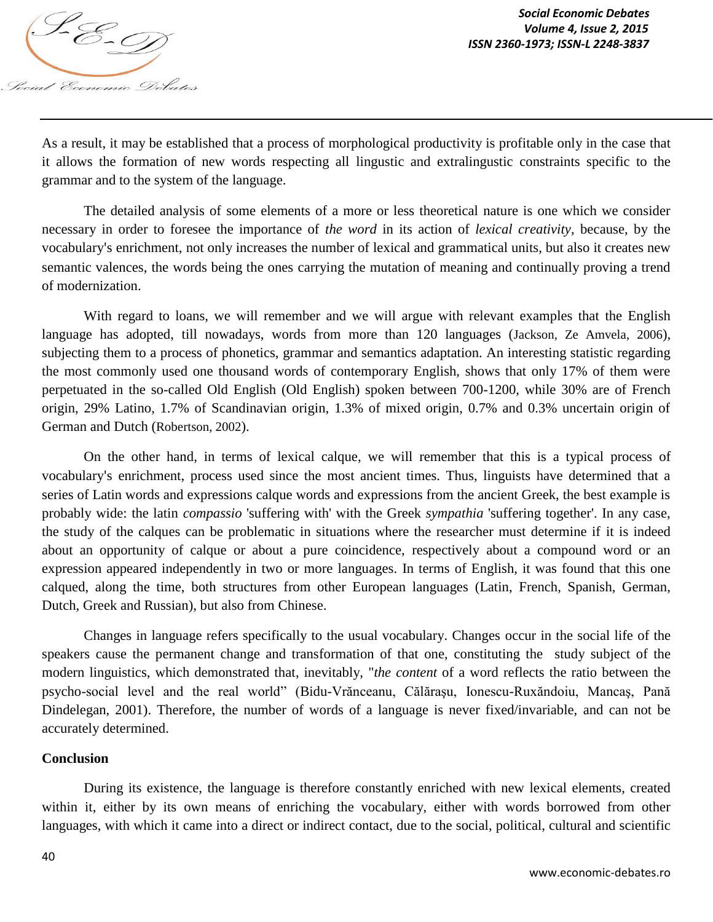

As a result, it may be established that a process of morphological productivity is profitable only in the case that it allows the formation of new words respecting all lingustic and extralingustic constraints specific to the grammar and to the system of the language.

The detailed analysis of some elements of a more or less theoretical nature is one which we consider necessary in order to foresee the importance of *the word* in its action of *lexical creativity*, because, by the vocabulary's enrichment, not only increases the number of lexical and grammatical units, but also it creates new semantic valences, the words being the ones carrying the mutation of meaning and continually proving a trend of modernization.

With regard to loans, we will remember and we will argue with relevant examples that the English language has adopted, till nowadays, words from more than 120 languages (Jackson, Ze Amvela, 2006), subjecting them to a process of phonetics, grammar and semantics adaptation. An interesting statistic regarding the most commonly used one thousand words of contemporary English, shows that only 17% of them were perpetuated in the so-called Old English (Old English) spoken between 700-1200, while 30% are of French origin, 29% Latino, 1.7% of Scandinavian origin, 1.3% of mixed origin, 0.7% and 0.3% uncertain origin of German and Dutch (Robertson, 2002).

On the other hand, in terms of lexical calque, we will remember that this is a typical process of vocabulary's enrichment, process used since the most ancient times. Thus, linguists have determined that a series of Latin words and expressions calque words and expressions from the ancient Greek, the best example is probably wide: the latin *compassio* 'suffering with' with the Greek *sympathia* 'suffering together'. In any case, the study of the calques can be problematic in situations where the researcher must determine if it is indeed about an opportunity of calque or about a pure coincidence, respectively about a compound word or an expression appeared independently in two or more languages. In terms of English, it was found that this one calqued, along the time, both structures from other European languages (Latin, French, Spanish, German, Dutch, Greek and Russian), but also from Chinese.

Changes in language refers specifically to the usual vocabulary. Changes occur in the social life of the speakers cause the permanent change and transformation of that one, constituting the study subject of the modern linguistics, which demonstrated that, inevitably, "*the content* of a word reflects the ratio between the psycho-social level and the real world" (Bidu-Vrănceanu, Călăraşu, Ionescu-Ruxăndoiu, Mancaş, Pană Dindelegan, 2001). Therefore, the number of words of a language is never fixed/invariable, and can not be accurately determined.

#### **Conclusion**

During its existence, the language is therefore constantly enriched with new lexical elements, created within it, either by its own means of enriching the vocabulary, either with words borrowed from other languages, with which it came into a direct or indirect contact, due to the social, political, cultural and scientific